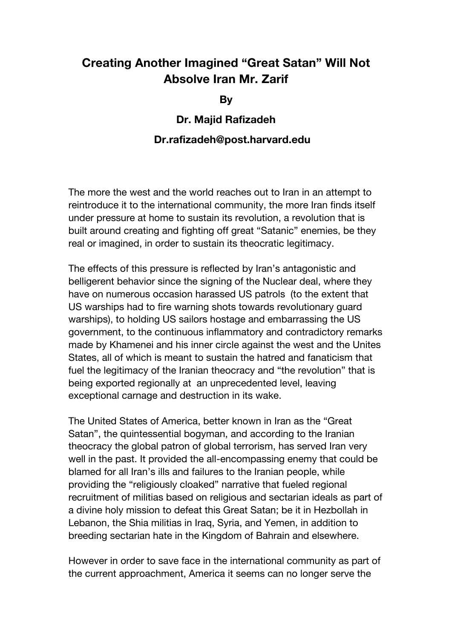## **Creating Another Imagined "Great Satan" Will Not Absolve Iran Mr. Zarif**

**By**

## **Dr. Majid Rafizadeh Dr.rafizadeh@post.harvard.edu**

The more the west and the world reaches out to Iran in an attempt to reintroduce it to the international community, the more Iran finds itself under pressure at home to sustain its revolution, a revolution that is built around creating and fighting off great "Satanic" enemies, be they real or imagined, in order to sustain its theocratic legitimacy.

The effects of this pressure is reflected by Iran's antagonistic and belligerent behavior since the signing of the Nuclear deal, where they have on numerous occasion harassed US patrols (to the extent that US warships had to fire warning shots towards revolutionary guard warships), to holding US sailors hostage and embarrassing the US government, to the continuous inflammatory and contradictory remarks made by Khamenei and his inner circle against the west and the Unites States, all of which is meant to sustain the hatred and fanaticism that fuel the legitimacy of the Iranian theocracy and "the revolution" that is being exported regionally at an unprecedented level, leaving exceptional carnage and destruction in its wake.

The United States of America, better known in Iran as the "Great Satan", the quintessential bogyman, and according to the Iranian theocracy the global patron of global terrorism, has served Iran very well in the past. It provided the all-encompassing enemy that could be blamed for all Iran's ills and failures to the Iranian people, while providing the "religiously cloaked" narrative that fueled regional recruitment of militias based on religious and sectarian ideals as part of a divine holy mission to defeat this Great Satan; be it in Hezbollah in Lebanon, the Shia militias in Iraq, Syria, and Yemen, in addition to breeding sectarian hate in the Kingdom of Bahrain and elsewhere.

However in order to save face in the international community as part of the current approachment, America it seems can no longer serve the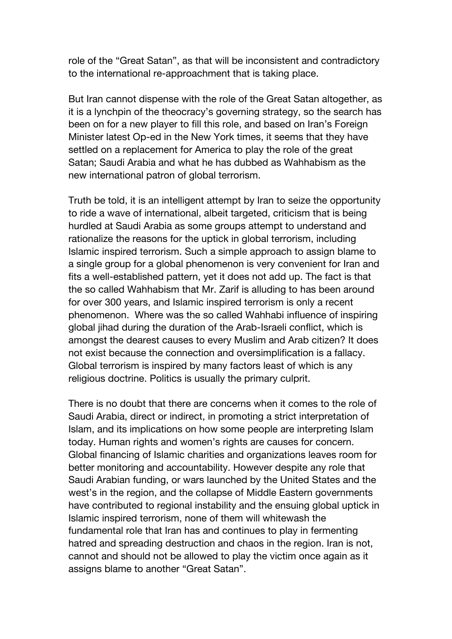role of the "Great Satan", as that will be inconsistent and contradictory to the international re-approachment that is taking place.

But Iran cannot dispense with the role of the Great Satan altogether, as it is a lynchpin of the theocracy's governing strategy, so the search has been on for a new player to fill this role, and based on Iran's Foreign Minister latest Op-ed in the New York times, it seems that they have settled on a replacement for America to play the role of the great Satan; Saudi Arabia and what he has dubbed as Wahhabism as the new international patron of global terrorism.

Truth be told, it is an intelligent attempt by Iran to seize the opportunity to ride a wave of international, albeit targeted, criticism that is being hurdled at Saudi Arabia as some groups attempt to understand and rationalize the reasons for the uptick in global terrorism, including Islamic inspired terrorism. Such a simple approach to assign blame to a single group for a global phenomenon is very convenient for Iran and fits a well-established pattern, yet it does not add up. The fact is that the so called Wahhabism that Mr. Zarif is alluding to has been around for over 300 years, and Islamic inspired terrorism is only a recent phenomenon. Where was the so called Wahhabi influence of inspiring global jihad during the duration of the Arab-Israeli conflict, which is amongst the dearest causes to every Muslim and Arab citizen? It does not exist because the connection and oversimplification is a fallacy. Global terrorism is inspired by many factors least of which is any religious doctrine. Politics is usually the primary culprit.

There is no doubt that there are concerns when it comes to the role of Saudi Arabia, direct or indirect, in promoting a strict interpretation of Islam, and its implications on how some people are interpreting Islam today. Human rights and women's rights are causes for concern. Global financing of Islamic charities and organizations leaves room for better monitoring and accountability. However despite any role that Saudi Arabian funding, or wars launched by the United States and the west's in the region, and the collapse of Middle Eastern governments have contributed to regional instability and the ensuing global uptick in Islamic inspired terrorism, none of them will whitewash the fundamental role that Iran has and continues to play in fermenting hatred and spreading destruction and chaos in the region. Iran is not, cannot and should not be allowed to play the victim once again as it assigns blame to another "Great Satan".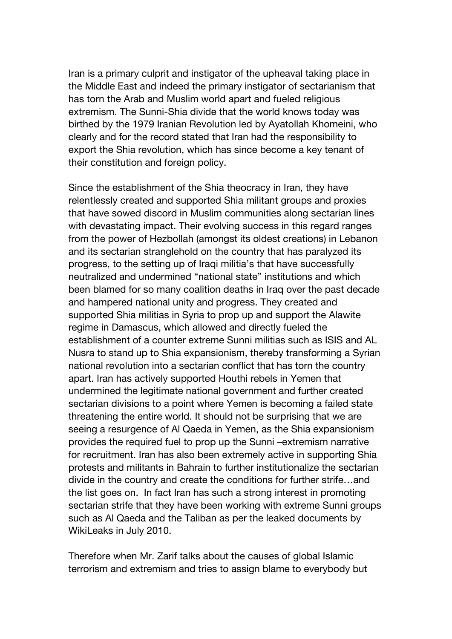Iran is a primary culprit and instigator of the upheaval taking place in the Middle East and indeed the primary instigator of sectarianism that has torn the Arab and Muslim world apart and fueled religious extremism. The Sunni-Shia divide that the world knows today was birthed by the 1979 Iranian Revolution led by Ayatollah Khomeini, who clearly and for the record stated that Iran had the responsibility to export the Shia revolution, which has since become a key tenant of their constitution and foreign policy.

Since the establishment of the Shia theocracy in Iran, they have relentlessly created and supported Shia militant groups and proxies that have sowed discord in Muslim communities along sectarian lines with devastating impact. Their evolving success in this regard ranges from the power of Hezbollah (amongst its oldest creations) in Lebanon and its sectarian stranglehold on the country that has paralyzed its progress, to the setting up of Iraqi militia's that have successfully neutralized and undermined "national state" institutions and which been blamed for so many coalition deaths in Iraq over the past decade and hampered national unity and progress. They created and supported Shia militias in Syria to prop up and support the Alawite regime in Damascus, which allowed and directly fueled the establishment of a counter extreme Sunni militias such as ISIS and AL Nusra to stand up to Shia expansionism, thereby transforming a Syrian national revolution into a sectarian conflict that has torn the country apart. Iran has actively supported Houthi rebels in Yemen that undermined the legitimate national government and further created sectarian divisions to a point where Yemen is becoming a failed state threatening the entire world. It should not be surprising that we are seeing a resurgence of Al Qaeda in Yemen, as the Shia expansionism provides the required fuel to prop up the Sunni –extremism narrative for recruitment. Iran has also been extremely active in supporting Shia protests and militants in Bahrain to further institutionalize the sectarian divide in the country and create the conditions for further strife…and the list goes on. In fact Iran has such a strong interest in promoting sectarian strife that they have been working with extreme Sunni groups such as Al Qaeda and the Taliban as per the leaked documents by WikiLeaks in July 2010.

Therefore when Mr. Zarif talks about the causes of global Islamic terrorism and extremism and tries to assign blame to everybody but